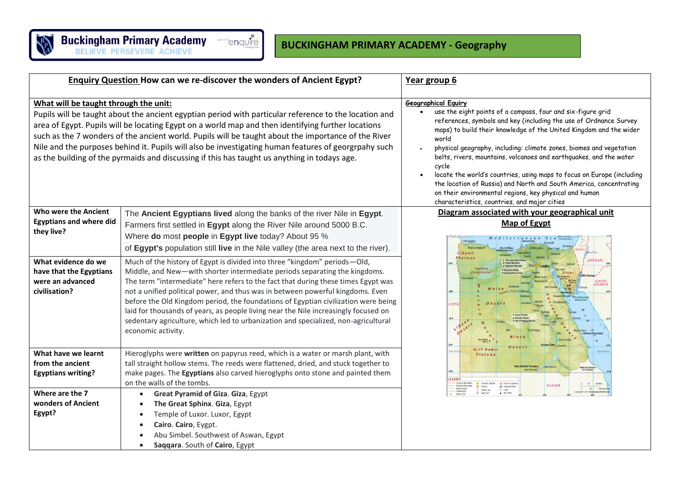

| <b>Enquiry Question How can we re-discover the wonders of Ancient Egypt?</b>                                                                                                                                                                                                                                                                                                                                                                                                                                                                                        |                                                                                                                                                                                                                                                                                                                                                                                                                                                                                                                                                                                                                                                                                                                                                                                                                                                                                                                         | Year group 6                                                                                                                                                                                                                                                                                                                                                                                                                                                                                                                                                                                                                                                  |  |
|---------------------------------------------------------------------------------------------------------------------------------------------------------------------------------------------------------------------------------------------------------------------------------------------------------------------------------------------------------------------------------------------------------------------------------------------------------------------------------------------------------------------------------------------------------------------|-------------------------------------------------------------------------------------------------------------------------------------------------------------------------------------------------------------------------------------------------------------------------------------------------------------------------------------------------------------------------------------------------------------------------------------------------------------------------------------------------------------------------------------------------------------------------------------------------------------------------------------------------------------------------------------------------------------------------------------------------------------------------------------------------------------------------------------------------------------------------------------------------------------------------|---------------------------------------------------------------------------------------------------------------------------------------------------------------------------------------------------------------------------------------------------------------------------------------------------------------------------------------------------------------------------------------------------------------------------------------------------------------------------------------------------------------------------------------------------------------------------------------------------------------------------------------------------------------|--|
| What will be taught through the unit:<br>Pupils will be taught about the ancient egyptian period with particular reference to the location and<br>area of Egypt. Pupils will be locating Egypt on a world map and then identifying further locations<br>such as the 7 wonders of the ancient world. Pupils will be taught about the importance of the River<br>Nile and the purposes behind it. Pupils will also be investigating human features of georgrpahy such<br>as the building of the pyrmaids and discussing if this has taught us anything in todays age. |                                                                                                                                                                                                                                                                                                                                                                                                                                                                                                                                                                                                                                                                                                                                                                                                                                                                                                                         | <b>Geographical Equiry</b><br>use the eight points of a compass, four and six-figure grid<br>references, symbols and key (including the use of Ordnance Survey<br>maps) to build their knowledge of the United Kingdom and the wider<br>world<br>physical geography, including: climate zones, biomes and vegetation<br>belts, rivers, mountains, volcanoes and earthquakes, and the water<br>cycle<br>locate the world's countries, using maps to focus on Europe (including<br>the location of Russia) and North and South America, concentrating<br>on their environmental regions, key physical and human<br>characteristics, countries, and major cities |  |
| <b>Who were the Ancient</b><br><b>Egyptians and where did</b><br>they live?<br>What evidence do we<br>have that the Egyptians<br>were an advanced<br>civilisation?                                                                                                                                                                                                                                                                                                                                                                                                  | The Ancient Egyptians lived along the banks of the river Nile in Egypt.<br>Farmers first settled in Egypt along the River Nile around 5000 B.C.<br>Where do most people in Egypt live today? About 95 %<br>of Egypt's population still live in the Nile valley (the area next to the river).<br>Much of the history of Egypt is divided into three "kingdom" periods-Old,<br>Middle, and New-with shorter intermediate periods separating the kingdoms.<br>The term "intermediate" here refers to the fact that during these times Egypt was<br>not a unified political power, and thus was in between powerful kingdoms. Even<br>before the Old Kingdom period, the foundations of Egyptian civilization were being<br>laid for thousands of years, as people living near the Nile increasingly focused on<br>sedentary agriculture, which led to urbanization and specialized, non-agricultural<br>economic activity. | Diagram associated with your geographical unit<br>Map of Egypt<br><b>Sidi Barra</b><br>Marcá Ma<br>ibvan<br>Plateau<br>Qattara<br>Depression<br><b>SAUD</b><br>RABIA<br><b>IBYA</b>                                                                                                                                                                                                                                                                                                                                                                                                                                                                           |  |
| What have we learnt<br>from the ancient<br><b>Egyptians writing?</b><br>Where are the 7<br>wonders of Ancient<br>Egypt?                                                                                                                                                                                                                                                                                                                                                                                                                                             | Hieroglyphs were written on papyrus reed, which is a water or marsh plant, with<br>tall straight hollow stems. The reeds were flattened, dried, and stuck together to<br>make pages. The Egyptians also carved hieroglyphs onto stone and painted them<br>on the walls of the tombs.<br>Great Pyramid of Giza. Giza, Egypt<br>$\bullet$<br>The Great Sphinx. Giza, Egypt<br>$\bullet$<br>Temple of Luxor. Luxor, Egypt<br>$\bullet$<br>Cairo. Cairo, Eygpt.<br>$\bullet$<br>Abu Simbel. Southwest of Aswan, Egypt<br>Saqqara. South of Cairo, Egypt                                                                                                                                                                                                                                                                                                                                                                     | Gilf Kebi<br>Plateau<br><b>Abu Simbel Temples</b><br>Administeres<br>by Sudan<br>EGEND<br><b>SUDAN</b><br>O National Park<br>Mt. Peak                                                                                                                                                                                                                                                                                                                                                                                                                                                                                                                         |  |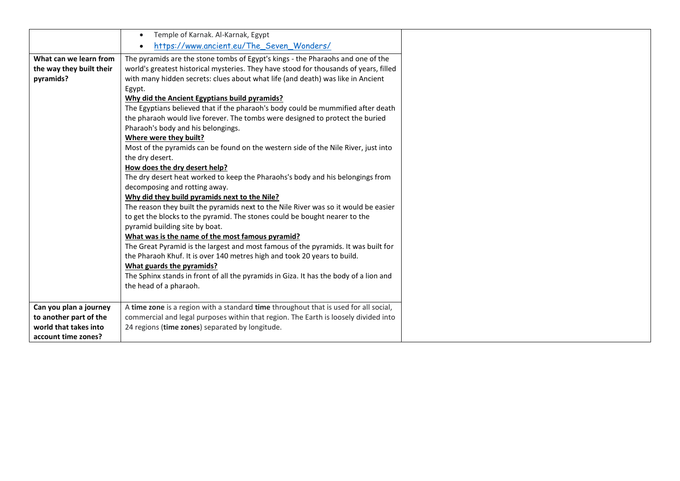|                          | Temple of Karnak. Al-Karnak, Egypt<br>$\bullet$                                       |
|--------------------------|---------------------------------------------------------------------------------------|
|                          | https://www.ancient.eu/The_Seven_Wonders/<br>$\bullet$                                |
| What can we learn from   | The pyramids are the stone tombs of Egypt's kings - the Pharaohs and one of the       |
| the way they built their | world's greatest historical mysteries. They have stood for thousands of years, filled |
| pyramids?                | with many hidden secrets: clues about what life (and death) was like in Ancient       |
|                          | Egypt.                                                                                |
|                          | Why did the Ancient Egyptians build pyramids?                                         |
|                          | The Egyptians believed that if the pharaoh's body could be mummified after death      |
|                          | the pharaoh would live forever. The tombs were designed to protect the buried         |
|                          | Pharaoh's body and his belongings.                                                    |
|                          | Where were they built?                                                                |
|                          | Most of the pyramids can be found on the western side of the Nile River, just into    |
|                          | the dry desert.                                                                       |
|                          | How does the dry desert help?                                                         |
|                          | The dry desert heat worked to keep the Pharaohs's body and his belongings from        |
|                          | decomposing and rotting away.                                                         |
|                          | Why did they build pyramids next to the Nile?                                         |
|                          | The reason they built the pyramids next to the Nile River was so it would be easier   |
|                          | to get the blocks to the pyramid. The stones could be bought nearer to the            |
|                          | pyramid building site by boat.                                                        |
|                          | What was is the name of the most famous pyramid?                                      |
|                          | The Great Pyramid is the largest and most famous of the pyramids. It was built for    |
|                          | the Pharaoh Khuf. It is over 140 metres high and took 20 years to build.              |
|                          | What guards the pyramids?                                                             |
|                          | The Sphinx stands in front of all the pyramids in Giza. It has the body of a lion and |
|                          | the head of a pharaoh.                                                                |
|                          |                                                                                       |
| Can you plan a journey   | A time zone is a region with a standard time throughout that is used for all social,  |
| to another part of the   | commercial and legal purposes within that region. The Earth is loosely divided into   |
| world that takes into    | 24 regions (time zones) separated by longitude.                                       |
| account time zones?      |                                                                                       |